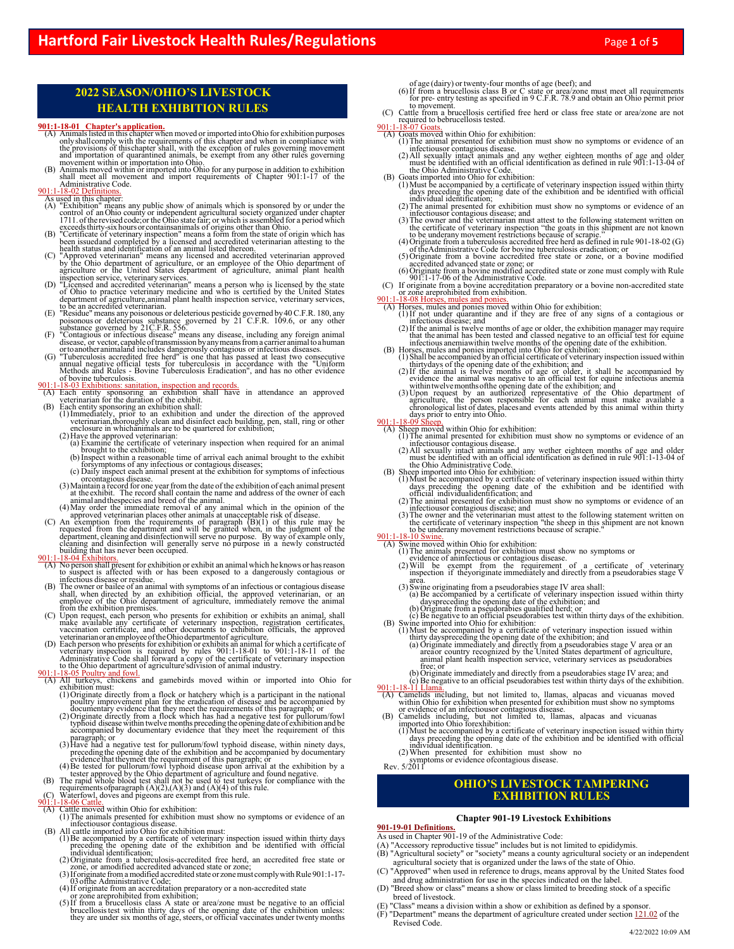## **2022 SEASON/OHIO'S LIVESTOCK HEALTH EXHIBITION RULES**

- **901:1-18-01 Chapter's application.**<br>
(A) Animals listed in this chapter when moved or imported into Ohio for exhibition purposes only shall comply with the requirements of this chapter and when in compliance with the pro
- 

- 
- 901:1-18-02 Definitions.<br>
As used in this chapter:<br>
(A) "Exhibition" means any public show of animals which is sponsored by or under the<br>
control of an Ohio county or independent agricultural society organized under chapt
- been issued and completed by a licensed and accredited veterinarian attesting to the health status and identification of an animal listed thereon.
- 
- 
- 
- 
- (C) "Approved veterinarian" means any licensed and accredited veterinarian approved<br>by the Ohio department of agriculture, or an employee of the Ohio department of<br>agriculture or the United States department of agricultur

- 
- 
- 901:1-18-03 Exhibitions: sanitation, inspection and records.<br>
(A) Each entity sponsoring an exhibition shall have in attendance an approved<br>
veterinarian for the duration of the exhibit.<br>
(B) Each entity sponsoring an exh
	- (a) Examine the certificate of veterinary inspection when required for an animal<br>brought to the exhibition;<br>(b) Inspect within a reasonable time of arrival each animal brought to the exhibit
	- $\check{\ }$  for symptoms of any infectious or contagious diseases;<br>(c) Daily inspect each animal present at the exhibition for symptoms of infectious
	- $\hat{a}$ ) Maintain a record for one year from the date of the exhibition of each animal present  $\hat{a}$ ) Maintain a record shall contain the name and address of the owner of each  $\hat{a}$  at the exhibit. The record shall co
	-
	-
- animal and the<br>species and breed of the animal.<br>(4) May order the immediate removal of any animal which in the opinion of the<br>approved veterinarian places other animals at unacceptable risk of disease.<br>(C) An exemption fr building that has never been occupied.<br>901:1-18-04 Exhibitors.

- (A) No person shall present for exhibition or exhibit an animal which he knows or has reason to suspect is affected with or has been exposed to a dangerously contagious or infectious disease or residue.
- (B) The owner or bailee of an animal with symptoms of an infectious or contagious disease<br>shall, when directed by an exhibition official, the approved veterinarian, or an<br>employee of the Ohio department of agriculture, imm
- make available any certificate of veterinary inspection, registration certificates, vaccination certificate, and other documents to exhibition officials, the approved
- veterinarian or an employee of the Ohio department of agriculture.<br>
(D) Each person who presents for exhibition or exhibits an animal for which a certificate of<br>
veterinary inspection is required by rules 901:1-18-01 to 9

- 01:1-18-05 Poultry and fowl.<br>(A) All turkeys, chickens and gamebirds moved within or imported into Ohio for exhibition must:
	- (1) Originate directly from a flock or hatchery which is a participant in the national<br>poultry improvement plan for the eradication of disease and be accompanied by<br>documentary evidence that they meet the requirements of
	- typhoid disease within twelve months preceding the opening date of exhibition and be accompanied by documentary evidence that they meet the requirement of this
	- paragraph; or<br>(3) Have had a negative test for pullorum/fowl typhoid disease, within ninety days, preceding the opening date of the exhibition and be accompanied by documentary evidence that they meet the requirement of this paragraph; or (4)Be tested for pullorum/fowl typhoid disease upon arrival at the exhibition by a
- tester approved by the Ohio department of agriculture and found negative. (B) The rapid whole blood test shall not be used to test turkeys for compliance with the
- requirements of paragraph  $(A)(2),(A)(3)$  and  $(A)(4)$  of this rule.<br>(C) Waterfowl, doves and pigeons are exempt from this rule.<br>901:1-18-06 Cattle.

- 
- (A) Cattle moved within Ohio for exhibition:<br>
(1) The animals presented for exhibition must show no symptoms or evidence of an<br>
infectious or contagious disease.<br>
(B) All cattle imported into Ohio for exhibition must:
- 
- (1)Be accompanied by a certificate of veterinary inspection issued within thirty days preceding the opening date of the exhibition and be identified with official individual identification; (2)Originate from a tuberculosis-accredited free herd, an accredited free state or
- zone, or a modified accredited advanced state or zone; (3)If originate from a modified accredited state or zone must comply with Rule 901:1-17-
- 
- 
- $^{17}$  (3) of the Administrative Code;<br>
(4) If originate from an accreditation preparatory or a non-accredited state<br>
or zone are prohibited from exhibition;<br>
(5) If from a brucellosis class A state or area/zone must be n
- 
- of age (dairy) or twenty-four months of age (beef); and<br>(6) If from a brucellosis class B or C state or area/zone must meet all requirements<br>for pre- entry testing as specified in 9 C.F.R. 78.9 and obtain an Ohio permit pr
- (C) Cattle from a brucellosis certified free herd or class free state or area/zone are not required to be brucellosis tested.<br>-18-07 Goats.

### $($ A) Goats moved within Ohio for exhibition:

- 
- (1) The animal presented for exhibition must show no symptoms or evidence of an infectious<br>or contagious disease. (2) All sexually intact animals and any wether eighteen months of age and older<br>must be identified with an The interval is discussed.<br>
(2) All exculty interact animals and any wether eighteen months of age and older<br>  $(2)$  All exculty interact animals and any wether eighteen months of age and older<br>
the Ohio Administrative Cod
	-
	-
- C infectious<br>or contagious disease; and<br>(3) The owner and the veterinarian must attest to the following statement written on<br>the certificate of veterinary inspection the goats in this shipment are not known<br>to be underany
	-
	-
	-
	-

- 
- $\check{ }$  that the animal has been tested and classed negative to an official test for equine infectious anemia within twelve months of the opening date of the exhibition.<br>(B) Horses, mules and ponies imported into Ohio for
	- (1)Shall be accompanied by an official certificate of veterinary inspection issued within thirty days of the opening date of the exhibition; and (2)If the animal is twelve months of age or older, it shall be accompanied by
	-
- evidence the animal was negative to an official test for equine infectious anemia<br>
within twelvemonths of the origin date of the exhibition; and<br>
(3) Upon request by an authorized representative of the Ohio department of<br>

- 
- The interval is interval in the mind state.<br>
(2) All exculty intert aims and any wether eighteen months of age and older<br>
must be identified with an official identification as defined in rule 901:1-13-04 of<br>
the Ohio Admi
	-
	-
	- infectious or contagious disease; and  $(3)$ The owner and the veterinarian must attest to the following statement written on
- The certificate of veterinary inspection "the sheep in this shipment are not known to be under<br>any movement restrictions because of scrapie." 901:1-18-10 Swine.
- 
- (A) Swine moved within Ohio for exhibition:<br>
(1) The animals presented for exhibition must show no symptoms or<br>
evidence of aninfectious or contagoius disease.<br>
(2) Will be exempt from the requirement of a certificate of v
	-
	-
- 
- 
- Fraction is the property in the property of the production of the product area.<br>
The comparison of the comparison of the comparison of the comparison of the comparison of the discomenties of the exhibition; and (b) Origin

free; or<br>(b) Originate immediately and directly from a pseudorabies stage IV area; and<br>(c) Be negative to an official pseudorabies test within thirty days of the exhibition.<br>901:1-18-11 Llama.

- (A) Camelids including, but not limited to, llamas, alpacas and vicuanas moved within Ohio for exhibition when presented for exhibition must show no symptoms
- 
- (B) Camelids including, but not limited to, llamas, alpacas and vicuanas<br>
(B) Camelids including, but not limited to, llamas, alpacas and vicuanas<br>
imported into Ohio forexhibition:<br>
(1) Must be accompanied by a certifica
	-

## **OHIO'S LIVESTOCK TAMPERING EXHIBITION RULES**

### **Chapter 901-19 Livestock Exhibitions**

**901-19-01 Definitions.**

- As used in Chapter 901-19 of the Administrative Code:
- (A) "Accessory reproductive tissue" includes but is not limited to epididymis.
- (B) "Agricultural society" or "society" means a county agricultural society or an independent agricultural society that is organized under the laws of the state of Ohio.
- (C) "Approved" when used in reference to drugs, means approval by the United States food and drug administration for use in the species indicated on the label.
- (D) "Breed show or class" means a show or class limited to breeding stock of a specific breed of livestock.
- (E) "Class" means a division within a show or exhibition as defined by a sponsor.
- $(F)$  "Department" means the department of agriculture created under section 121.02 of the Revised Code.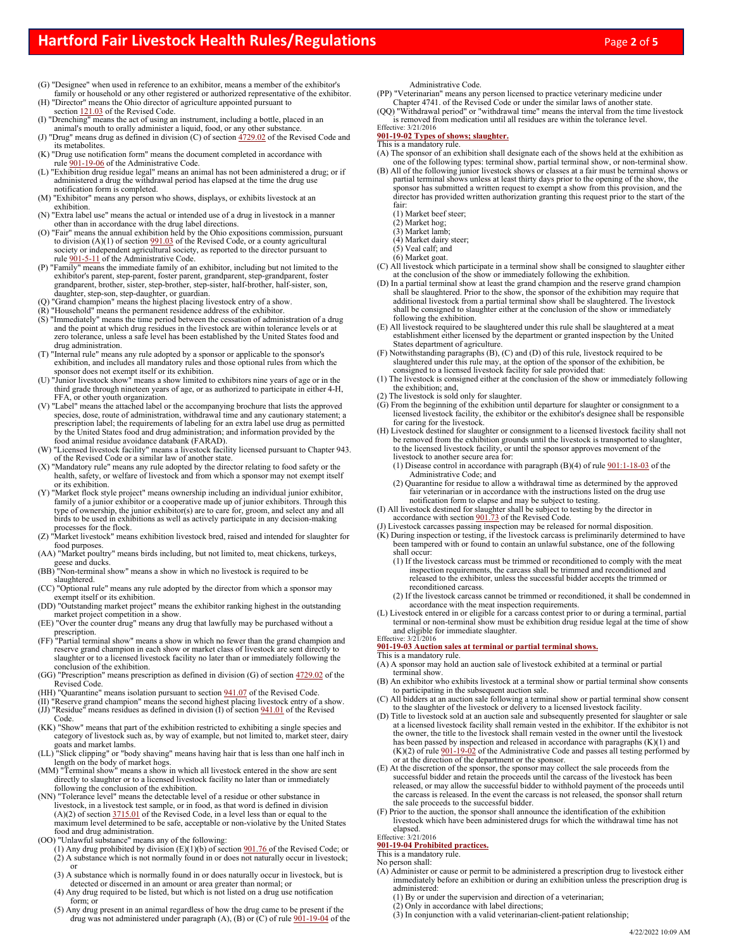- (G) "Designee" when used in reference to an exhibitor, means a member of the exhibitor's family or household or any other registered or authorized representative of the exhibitor.
- (H) "Director" means the Ohio director of agriculture appointed pursuant to section 121.03 of the Revised Code.
- (I) "Drenching" means the act of using an instrument, including a bottle, placed in an animal's mouth to orally administer a liquid, food, or any other substance.
- (J) "Drug" means drug as defined in division (C) of section 4729.02 of the Revised Code and its metabolites. (K) "Drug use notification form" means the document completed in accordance with
- rule 901-19-06 of the Administrative Code.<br>(L) "Exhibition drug residue legal" means an animal has not been administered a drug; or if
- administered a drug the withdrawal period has elapsed at the time the drug use notification form is completed.
- (M) "Exhibitor" means any person who shows, displays, or exhibits livestock at an exhibition.
- (N) "Extra label use" means the actual or intended use of a drug in livestock in a manner other than in accordance with the drug label directions.
- (O) "Fair" means the annual exhibition held by the Ohio expositions commission, pursuant to division (A)(1) of section 991.03 of the Revised Code, or a county agricultural society or independent agricultural society, as reported to the director pursuant to rule  $\frac{901-5-11}{2}$  of the Administrative Code.
- (P) "Family" means the immediate family of an exhibitor, including but not limited to the exhibitor's parent, step-parent, foster parent, grandparent, step-grandparent, foster grandparent, brother, sister, step-brother, step-sister, half-brother, half-sister, son, daughter, step-son, step-daughter, or guardian.
- (Q) "Grand champion" means the highest placing livestock entry of a show.
- (R) "Household" means the permanent residence address of the exhibitor. (S) "Immediately" means the time period between the cessation of administration of a drug and the point at which drug residues in the livestock are within tolerance levels or at
- zero tolerance, unless a safe level has been established by the United States food and drug administration. (T) "Internal rule" means any rule adopted by a sponsor or applicable to the sponsor's
- exhibition, and includes all mandatory rules and those optional rules from which the sponsor does not exempt itself or its exhibition. (U) "Junior livestock show" means a show limited to exhibitors nine years of age or in the
- third grade through nineteen years of age, or as authorized to participate in either 4-H, FFA, or other youth organization.
- (V) "Label" means the attached label or the accompanying brochure that lists the approved species, dose, route of administration, withdrawal time and any cautionary statement; a prescription label; the requirements of labeling for an extra label use drug as permitted by the United States food and drug administration; and information provided by the food animal residue avoidance databank (FARAD).
- (W) "Licensed livestock facility" means a livestock facility licensed pursuant to Chapter 943. of the Revised Code or a similar law of another state.
- (X) "Mandatory rule" means any rule adopted by the director relating to food safety or the health, safety, or welfare of livestock and from which a sponsor may not exempt itself or its exhibition.
- (Y) "Market flock style project" means ownership including an individual junior exhibitor, family of a junior exhibitor or a cooperative made up of junior exhibitors. Through this type of ownership, the junior exhibitor(s) are to care for, groom, and select any and all birds to be used in exhibitions as well as actively participate in any decision-making processes for the flock.
- (Z) "Market livestock" means exhibition livestock bred, raised and intended for slaughter for food purposes.
- (AA) "Market poultry" means birds including, but not limited to, meat chickens, turkeys, geese and ducks.
- (BB) "Non-terminal show" means a show in which no livestock is required to be slaughtered.
- (CC) "Optional rule" means any rule adopted by the director from which a sponsor may exempt itself or its exhibition. (DD) "Outstanding market project" means the exhibitor ranking highest in the outstanding
- market project competition in a show. (EE) "Over the counter drug" means any drug that lawfully may be purchased without a
- prescription.
- (FF) "Partial terminal show" means a show in which no fewer than the grand champion and reserve grand champion in each show or market class of livestock are sent directly to slaughter or to a licensed livestock facility no later than or immediately following the conclusion of the exhibition.
- (GG) "Prescription" means prescription as defined in division (G) of section 4729.02 of the Revised Code.
- (HH) "Quarantine" means isolation pursuant to section 941.07 of the Revised Code.
- (II) "Reserve grand champion" means the second highest placing livestock entry of a show. (JJ) "Residue" means residues as defined in division (I) of section 941.01 of the Revised Code.
- (KK) "Show" means that part of the exhibition restricted to exhibiting a single species and category of livestock such as, by way of example, but not limited to, market steer, dairy goats and market lambs.
- (LL) "Slick clipping" or "body shaving" means having hair that is less than one half inch in length on the body of market hogs.
- (MM) "Terminal show" means a show in which all livestock entered in the show are sent directly to slaughter or to a licensed livestock facility no later than or immediately following the conclusion of the exhibition.
- (NN) "Tolerance level" means the detectable level of a residue or other substance in livestock, in a livestock test sample, or in food, as that word is defined in division (A)(2) of section  $\frac{3715.01}{2715.01}$  of the Revised Code, in a level less than or equal to the maximum level determined to be safe, acceptable or non-violative by the United States food and drug administration.
- (OO) "Unlawful substance" means any of the following:
	- (1) Any drug prohibited by division  $(E)(1)(b)$  of section  $901.76$  of the Revised Code; or (2) A substance which is not normally found in or does not naturally occur in livestock; or
	- (3) A substance which is normally found in or does naturally occur in livestock, but is detected or discerned in an amount or area greater than normal; or
	- (4) Any drug required to be listed, but which is not listed on a drug use notification form; or
	- (5) Any drug present in an animal regardless of how the drug came to be present if the drug was not administered under paragraph  $(A)$ ,  $(B)$  or  $(C)$  of rule  $901-19-04$  of the

Administrative Code.

(PP) "Veterinarian" means any person licensed to practice veterinary medicine under Chapter 4741. of the Revised Code or under the similar laws of another state.

(QQ) "Withdrawal period" or "withdrawal time" means the interval from the time livestock is removed from medication until all residues are within the tolerance level.<br>Effective:  $3/21/2016$ 

## **901-19-02 Types of shows; slaughter.**

### This is a mandatory rule.

- (A) The sponsor of an exhibition shall designate each of the shows held at the exhibition as one of the following types: terminal show, partial terminal show, or non-terminal show.
- (B) All of the following junior livestock shows or classes at a fair must be terminal shows or partial terminal shows unless at least thirty days prior to the opening of the show, the sponsor has submitted a written request to exempt a show from this provision, and the
- director has provided written authorization granting this request prior to the start of the fair:
	- (1) Market beef steer;
	- (2) Market hog; (3) Market lamb;
	- (4) Market dairy steer;
	- (5) Veal calf; and
	- (6) Market goat.
- (C) All livestock which participate in a terminal show shall be consigned to slaughter either at the conclusion of the show or immediately following the exhibition.
- (D) In a partial terminal show at least the grand champion and the reserve grand champion shall be slaughtered. Prior to the show, the sponsor of the exhibition may require that additional livestock from a partial terminal show shall be slaughtered. The livestock shall be consigned to slaughter either at the conclusion of the show or immediately following the exhibition.
- (E) All livestock required to be slaughtered under this rule shall be slaughtered at a meat establishment either licensed by the department or granted inspection by the United States department of agriculture.
- (F) Notwithstanding paragraphs (B), (C) and (D) of this rule, livestock required to be slaughtered under this rule may, at the option of the sponsor of the exhibition, be consigned to a licensed livestock facility for sale provided that:
- (1) The livestock is consigned either at the conclusion of the show or immediately following the exhibition; and,
- (2) The livestock is sold only for slaughter.
- (G) From the beginning of the exhibition until departure for slaughter or consignment to a licensed livestock facility, the exhibitor or the exhibitor's designee shall be responsible for caring for the livestock.
- (H) Livestock destined for slaughter or consignment to a licensed livestock facility shall not be removed from the exhibition grounds until the livestock is transported to slaughter, to the licensed livestock facility, or until the sponsor approves movement of the
	- livestock to another secure area for:<br>(1) Disease control in accordance with paragraph (B)(4) of rule 901:1-18-03 of the Administrative Code; and
	- (2) Quarantine for residue to allow a withdrawal time as determined by the approved fair veterinarian or in accordance with the instructions listed on the drug use notification form to elapse and may be subject to testing.
- (I) All livestock destined for slaughter shall be subject to testing by the director in accordance with section 901.73 of the Revised Code.
- (J) Livestock carcasses passing inspection may be released for normal disposition. (K) During inspection or testing, if the livestock carcass is preliminarily determined to have
- been tampered with or found to contain an unlawful substance, one of the following shall occur:
	- (1) If the livestock carcass must be trimmed or reconditioned to comply with the meat inspection requirements, the carcass shall be trimmed and reconditioned and released to the exhibitor, unless the successful bidder accepts the trimmed or reconditioned carcass.
	- (2) If the livestock carcass cannot be trimmed or reconditioned, it shall be condemned in accordance with the meat inspection requirements.
- (L) Livestock entered in or eligible for a carcass contest prior to or during a terminal, partial terminal or non-terminal show must be exhibition drug residue legal at the time of show and eligible for immediate slaughter. Effective: 3/21/2016

## **901-19-03 Auction sales at terminal or partial terminal shows.**

### This is a mandatory rule.

- (A) A sponsor may hold an auction sale of livestock exhibited at a terminal or partial terminal show.
- (B) An exhibitor who exhibits livestock at a terminal show or partial terminal show consents to participating in the subsequent auction sale.
- (C) All bidders at an auction sale following a terminal show or partial terminal show consent to the slaughter of the livestock or delivery to a licensed livestock facility.
- (D) Title to livestock sold at an auction sale and subsequently presented for slaughter or sale at a licensed livestock facility shall remain vested in the exhibitor. If the exhibitor is not the owner, the title to the livestock shall remain vested in the owner until the livestock has been passed by inspection and released in accordance with paragraphs (K)(1) and  $(K)(2)$  of rule  $901-19-02$  of the Administrative Code and passes all testing performed by or at the direction of the department or the sponsor.
- (E) At the discretion of the sponsor, the sponsor may collect the sale proceeds from the successful bidder and retain the proceeds until the carcass of the livestock has been released, or may allow the successful bidder to withhold payment of the proceeds until the carcass is released. In the event the carcass is not released, the sponsor shall return the sale proceeds to the successful bidder.
- (F) Prior to the auction, the sponsor shall announce the identification of the exhibition livestock which have been administered drugs for which the withdrawal time has not elapsed. Effective: 3/21/2016

## **901-19-04 Prohibited practices.**

This is a mandatory rule.

No person shall:

- (A) Administer or cause or permit to be administered a prescription drug to livestock either immediately before an exhibition or during an exhibition unless the prescription drug is administered:
	- (1) By or under the supervision and direction of a veterinarian; (2) Only in accordance with label directions;
	- (3) In conjunction with a valid veterinarian-client-patient relationship;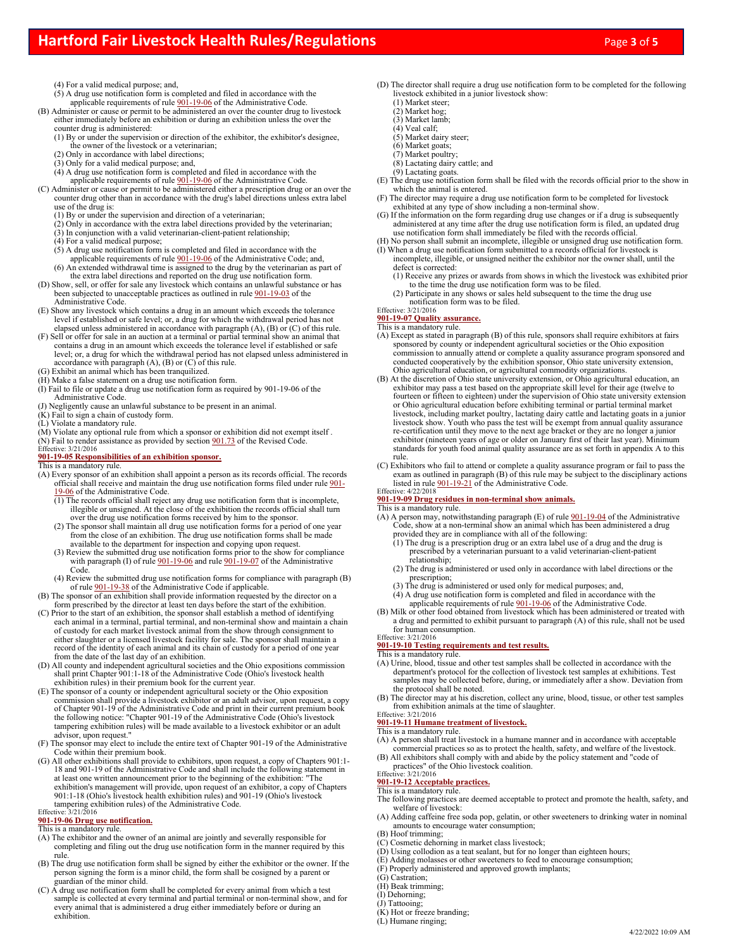- (4) For a valid medical purpose; and,
- (5) A drug use notification form is completed and filed in accordance with the<br>applicable requirements of rule  $901-19-06$  of the Administrative Code.<br>(B) Administer or cause or permit to be administered an over the count
	- either immediately before an exhibition or during an exhibition unless the over the
	- counter drug is administered: (1) By or under the supervision or direction of the exhibitor, the exhibitor's designee, the owner of the livestock or a veterinarian;
	- (2) Only in accordance with label directions;
	- (3) Only for a valid medical purpose; and,
	- (4) A drug use notification form is completed and filed in accordance with the applicable requirements of rule 901-19-06 of the Administrative Code.

(C) Administer or cause or permit to be administered either a prescription drug or an over the counter drug other than in accordance with the drug's label directions unless extra label use of the drug is:

- (1) By or under the supervision and direction of a veterinarian;
- (2) Only in accordance with the extra label directions provided by the veterinarian;
- (3) In conjunction with a valid veterinarian-client-patient relationship;
- (4) For a valid medical purpose;
- $(5)$  A drug use notification form is completed and filed in accordance with the applicable requirements of rule 901-19-06 of the Administrative Code; and,
- (6) An extended withdrawal time is assigned to the drug by the veterinarian as part of the extra label directions and reported on the drug use notification form.
- (D) Show, sell, or offer for sale any livestock which contains an unlawful substance or has been subjected to unacceptable practices as outlined in rule 901-19-03 of the Administrative Code.
- (E) Show any livestock which contains a drug in an amount which exceeds the tolerance level if established or safe level; or, a drug for which the withdrawal period has not elapsed unless administered in accordance with paragraph (A), (B) or (C) of this rule.
- (F) Sell or offer for sale in an auction at a terminal or partial terminal show an animal that contains a drug in an amount which exceeds the tolerance level if established or safe level; or, a drug for which the withdrawal period has not elapsed unless administered in accordance with paragraph (A), (B) or (C) of this rule.
- (G) Exhibit an animal which has been tranquilized.
- (H) Make a false statement on a drug use notification form. (I) Fail to file or update a drug use notification form as required by 901-19-06 of the
- Administrative Code.
- (J) Negligently cause an unlawful substance to be present in an animal.
- $(K)$  Fail to sign a chain of custody form.
- (L) Violate a mandatory rule.
- (M) Violate any optional rule from which a sponsor or exhibition did not exempt itself . (N) Fail to render assistance as provided by section 901.73 of the Revised Code. Effective: 3/21/2016

# **901-19-05 Responsibilities of an exhibition sponsor.** This is a mandatory rule.

- (A) Every sponsor of an exhibition shall appoint a person as its records official. The records official shall receive and maintain the drug use notification forms filed under rule 901-19-06 of the Administrative Code.
	- $\overline{(1)$  The records official shall reject any drug use notification form that is incomplete, illegible or unsigned. At the close of the exhibition the records official shall turn over the drug use notification forms received by him to the sponsor.
	- (2) The sponsor shall maintain all drug use notification forms for a period of one year from the close of an exhibition. The drug use notification forms shall be made available to the department for inspection and copying upon request.
	- (3) Review the submitted drug use notification forms prior to the show for compliance with paragraph (I) of rule  $901-19-06$  and rule  $901-19-07$  of the Administrative Code.
	- (4) Review the submitted drug use notification forms for compliance with paragraph (B) of rule 901-19-38 of the Administrative Code if applicable.
- (B) The sponsor of an exhibition shall provide information requested by the director on a form prescribed by the director at least ten days before the start of the exhibition.
- (C) Prior to the start of an exhibition, the sponsor shall establish a method of identifying each animal in a terminal, partial terminal, and non-terminal show and maintain a chain of custody for each market livestock animal from the show through consignment to either slaughter or a licensed livestock facility for sale. The sponsor shall maintain a record of the identity of each animal and its chain of custody for a period of one year from the date of the last day of an exhibition.
- (D) All county and independent agricultural societies and the Ohio expositions commission shall print Chapter 901:1-18 of the Administrative Code (Ohio's livestock health exhibition rules) in their premium book for the current year.
- (E) The sponsor of a county or independent agricultural society or the Ohio exposition commission shall provide a livestock exhibitor or an adult advisor, upon request, a copy of Chapter 901-19 of the Administrative Code and print in their current premium book the following notice: "Chapter 901-19 of the Administrative Code (Ohio's livestock tampering exhibition rules) will be made available to a livestock exhibitor or an adult
- advisor, upon request." (F) The sponsor may elect to include the entire text of Chapter 901-19 of the Administrative Code within their premium book.
- (G) All other exhibitions shall provide to exhibitors, upon request, a copy of Chapters 901:1- 18 and 901-19 of the Administrative Code and shall include the following statement in at least one written announcement prior to the beginning of the exhibition: "The exhibition's management will provide, upon request of an exhibitor, a copy of Chapters 901:1-18 (Ohio's livestock health exhibition rules) and 901-19 (Ohio's livestock tampering exhibition rules) of the Administrative Code. Effective: 3/21/2016

### **901-19-06 Drug use notification.**

### This is a mandatory rule.

- (A) The exhibitor and the owner of an animal are jointly and severally responsible for completing and filing out the drug use notification form in the manner required by this rule.
- (B) The drug use notification form shall be signed by either the exhibitor or the owner. If the person signing the form is a minor child, the form shall be cosigned by a parent or
- guardian of the minor child. (C) A drug use notification form shall be completed for every animal from which a test sample is collected at every terminal and partial terminal or non-terminal show, and for every animal that is administered a drug either immediately before or during an exhibition.
- (D) The director shall require a drug use notification form to be completed for the following livestock exhibited in a junior livestock show:
	- (1) Market steer;
	- $(2)$  Market hog; (3) Market lamb;
	- (4) Veal calf;
	- (5) Market dairy steer;
	- (6) Market goats;
	- (7) Market poultry;
	- (8) Lactating dairy cattle; and
	- (9) Lactating goats.
- (E) The drug use notification form shall be filed with the records official prior to the show in which the animal is entered.
- (F) The director may require a drug use notification form to be completed for livestock exhibited at any type of show including a non-terminal show.
- (G) If the information on the form regarding drug use changes or if a drug is subsequently administered at any time after the drug use notification form is filed, an updated drug use notification form shall immediately be filed with the records official.
- (H) No person shall submit an incomplete, illegible or unsigned drug use notification form. (I) When a drug use notification form submitted to a records official for livestock is
- incomplete, illegible, or unsigned neither the exhibitor nor the owner shall, until the defect is corrected: (1) Receive any prizes or awards from shows in which the livestock was exhibited prior
- to the time the drug use notification form was to be filed.
- (2) Participate in any shows or sales held subsequent to the time the drug use notification form was to be filed. Effective: 3/21/2016
	-

**901-19-07 Quality assurance.** This is a mandatory rule.

- (A) Except as stated in paragraph (B) of this rule, sponsors shall require exhibitors at fairs sponsored by county or independent agricultural societies or the Ohio exposition commission to annually attend or complete a quality assurance program sponsored and conducted cooperatively by the exhibition sponsor, Ohio state university extension, Ohio agricultural education, or agricultural commodity organizations.
- (B) At the discretion of Ohio state university extension, or Ohio agricultural education, an exhibitor may pass a test based on the appropriate skill level for their age (twelve to fourteen or fifteen to eighteen) under the supervision of Ohio state university extension or Ohio agricultural education before exhibiting terminal or partial terminal market livestock, including market poultry, lactating dairy cattle and lactating goats in a junior livestock show. Youth who pass the test will be exempt from annual quality assurance re-certification until they move to the next age bracket or they are no longer a junior exhibitor (nineteen years of age or older on January first of their last year). Minimum standards for youth food animal quality assurance are as set forth in appendix A to this rule.
- (C) Exhibitors who fail to attend or complete a quality assurance program or fail to pass the exam as outlined in paragraph (B) of this rule may be subject to the disciplinary actions listed in rule  $901-19-21$  of the Administrative Code.<br>Effective:  $4/22/2018$

## **901-19-09 Drug residues in non-terminal show animals.**

- This is a mandatory rule.
- (A) A person may, notwithstanding paragraph (E) of rule 901-19-04 of the Administrative Code, show at a non-terminal show an animal which has been administered a drug provided they are in compliance with all of the following:
	- (1) The drug is a prescription drug or an extra label use of a drug and the drug is prescribed by a veterinarian pursuant to a valid veterinarian-client-patient relationship;
	- (2) The drug is administered or used only in accordance with label directions or the
	- prescription; (3) The drug is administered or used only for medical purposes; and,
	- (4) A drug use notification form is completed and filed in accordance with the applicable requirements of rule 901-19-06 of the Administrative Code.
- (B) Milk or other food obtained from livestock which has been administered or treated with a drug and permitted to exhibit pursuant to paragraph (A) of this rule, shall not be used for human consumption. Effective: 3/21/2016

## **901-19-10 Testing requirements and test results.**

This is a mandatory rule.

- (A) Urine, blood, tissue and other test samples shall be collected in accordance with the department's protocol for the collection of livestock test samples at exhibitions. Test samples may be collected before, during, or immediately after a show. Deviation from the protocol shall be noted.
- (B) The director may at his discretion, collect any urine, blood, tissue, or other test samples from exhibition animals at the time of slaughter. Effective: 3/21/2016

# **901-19-11 Humane treatment of livestock.**

This is a mandatory rule.

- (A) A person shall treat livestock in a humane manner and in accordance with acceptable commercial practices so as to protect the health, safety, and welfare of the livestock.
- (B) All exhibitors shall comply with and abide by the policy statement and "code of practices" of the Ohio livestock coalition. Effective: 3/21/2016

# Effective: 3/21/2016<br>**901-19-12 Acceptable practices.**

This is a mandatory rule.

- The following practices are deemed acceptable to protect and promote the health, safety, and welfare of livestock:
- (A) Adding caffeine free soda pop, gelatin, or other sweeteners to drinking water in nominal amounts to encourage water consumption;
- (B) Hoof trimming;
- (C) Cosmetic dehorning in market class livestock;
- (D) Using collodion as a teat sealant, but for no longer than eighteen hours;
- (E) Adding molasses or other sweeteners to feed to encourage consumption; (F) Properly administered and approved growth implants;
- 
- (G) Castration; (H) Beak trimming;
- (I) Dehorning;
- (J) Tattooing;
- (K) Hot or freeze branding; (L) Humane ringing;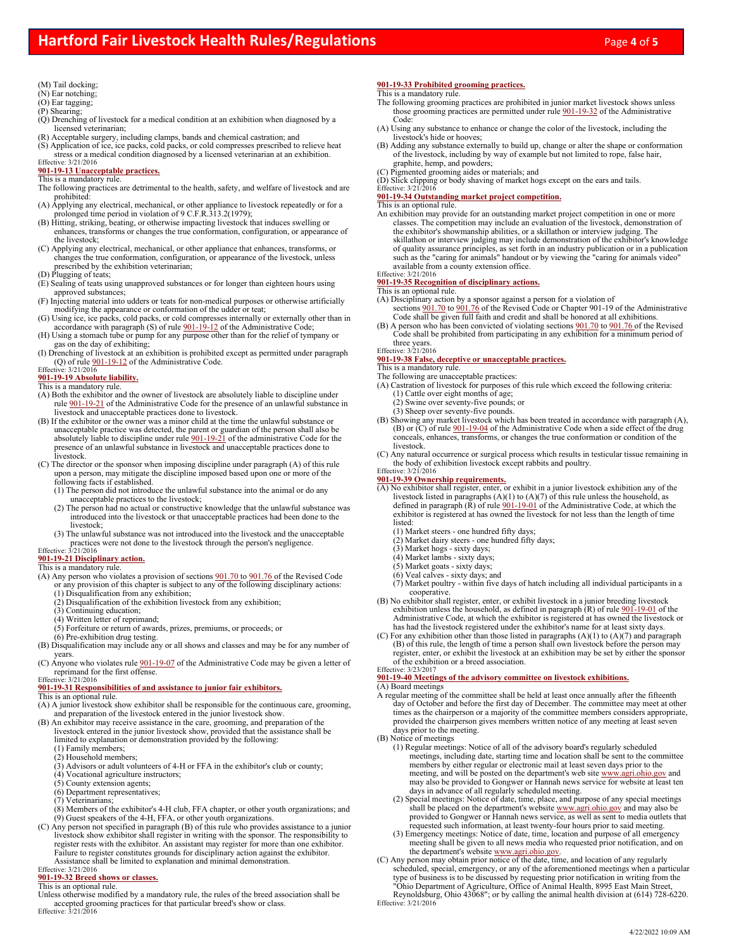### (M) Tail docking;

- (N) Ear notching;
- (O) Ear tagging;
- $(P)$  Shearing;
- $\tilde{Q}$ ) Drenching of livestock for a medical condition at an exhibition when diagnosed by a licensed veterinarian;
- (R) Acceptable surgery, including clamps, bands and chemical castration; and (S) Application of ice, ice packs, cold packs, or cold compresses prescribed to relieve heat
- stress or a medical condition diagnosed by a licensed veterinarian at an exhibition. Effective: 3/21/2016

### **901-19-13 Unacceptable practices.**

- This is a mandatory rule. The following practices are detrimental to the health, safety, and welfare of livestock and are prohibited:
- (A) Applying any electrical, mechanical, or other appliance to livestock repeatedly or for a prolonged time period in violation of 9 C.F.R.313.2(1979);
- (B) Hitting, striking, beating, or otherwise impacting livestock that induces swelling or enhances, transforms or changes the true conformation, configuration, or appearance of the livestock;
- (C) Applying any electrical, mechanical, or other appliance that enhances, transforms, or changes the true conformation, configuration, or appearance of the livestock, unless prescribed by the exhibition veterinarian;
- (D) Plugging of teats;
- (E) Sealing of teats using unapproved substances or for longer than eighteen hours using approved substances;
- (F) Injecting material into udders or teats for non-medical purposes or otherwise artificially modifying the appearance or conformation of the udder or teat;
- (G) Using ice, ice packs, cold packs, or cold compresses internally or externally other than in accordance with paragraph (S) of rule  $901-19-12$  of the Administrative Code; (H) Using a stomach tube or pump for any purpose other than for the relief of tympany or
- gas on the day of exhibiting; (I) Drenching of livestock at an exhibition is prohibited except as permitted under paragraph
- (Q) of rule  $\frac{901-19-12}{201}$  of the Administrative Code.

# **Effective:** 3/21/2016<br>**901-19-19 Absolute liability.**

### This is a mandatory rule.

- (A) Both the exhibitor and the owner of livestock are absolutely liable to discipline under rule 901-19-21 of the Administrative Code for the presence of an unlawful substance in livestock and unacceptable practices done to livestock.
- (B) If the exhibitor or the owner was a minor child at the time the unlawful substance or unacceptable practice was detected, the parent or guardian of the person shall also be absolutely liable to discipline under rule  $901-19-21$  of the administrative Code for the presence of an unlawful substance in livestock and unacceptable practices done to livestock.
- (C) The director or the sponsor when imposing discipline under paragraph (A) of this rule upon a person, may mitigate the discipline imposed based upon one or more of the following facts if established.
	- (1) The person did not introduce the unlawful substance into the animal or do any unacceptable practices to the livestock;
	- (2) The person had no actual or constructive knowledge that the unlawful substance was introduced into the livestock or that unacceptable practices had been done to the livestock;
- (3) The unlawful substance was not introduced into the livestock and the unacceptable practices were not done to the livestock through the person's negligence. Effective: 3/21/2016

## **901-19-21 Disciplinary action.**

- This is a mandatory rule.<br>(A) Any person who violates a provision of sections 901.70 to 901.76 of the Revised Code or any provision of this chapter is subject to any of the following disciplinary actions:
	- (1) Disqualification from any exhibition;
	- (2) Disqualification of the exhibition livestock from any exhibition;
	- (3) Continuing education; (4) Written letter of reprimand;
	-
	- (5) Forfeiture or return of awards, prizes, premiums, or proceeds; or
- (6) Pre-exhibition drug testing. (B) Disqualification may include any or all shows and classes and may be for any number of years.
- (C) Anyone who violates rule 901-19-07 of the Administrative Code may be given a letter of reprimand for the first offense.<br>Effective:  $3/21/2016$

## **901-19-31 Responsibilities of and assistance to junior fair exhibitors.**

- This is an optional rule.
- (A) A junior livestock show exhibitor shall be responsible for the continuous care, grooming, and preparation of the livestock entered in the junior livestock show.
- (B) An exhibitor may receive assistance in the care, grooming, and preparation of the livestock entered in the junior livestock show, provided that the assistance shall be limited to explanation or demonstration provided by the following:
	- (1) Family members;
	- (2) Household members;
	- (3) Advisors or adult volunteers of 4-H or FFA in the exhibitor's club or county;
	- (4) Vocational agriculture instructors;
	- (5) County extension agents;
	- (6) Department representatives;
	- (7) Veterinarians;
- (8) Members of the exhibitor's 4-H club, FFA chapter, or other youth organizations; and (9) Guest speakers of the 4-H, FFA, or other youth organizations. (C) Any person not specified in paragraph (B) of this rule who provides assistance to a junior
- livestock show exhibitor shall register in writing with the sponsor. The responsibility to register rests with the exhibitor. An assistant may register for more than one exhibitor. Failure to register constitutes grounds for disciplinary action against the exhibitor.
- Assistance shall be limited to explanation and minimal demonstration. Effective: 3/21/2016

# **901-19-32 Breed shows or classes.** This is an optional rule.

Unless otherwise modified by a mandatory rule, the rules of the breed association shall be accepted grooming practices for that particular breed's show or class.<br>Effective:  $3/21/2016$ 

### **901-19-33 Prohibited grooming practices.**

### This is a mandatory rule.

- The following grooming practices are prohibited in junior market livestock shows unless those grooming practices are permitted under rule 901-19-32 of the Administrative Code:
- (A) Using any substance to enhance or change the color of the livestock, including the livestock's hide or hooves; (B) Adding any substance externally to build up, change or alter the shape or conformation
- of the livestock, including by way of example but not limited to rope, false hair, graphite, hemp, and powders;
- (C) Pigmented grooming aides or materials; and

(D) Slick clipping or body shaving of market hogs except on the ears and tails.

Effective: 3/21/2016

## **901-19-34 Outstanding market project competition.**

- This is an optional rule.
- An exhibition may provide for an outstanding market project competition in one or more classes. The competition may include an evaluation of the livestock, demonstration of the exhibitor's showmanship abilities, or a skillathon or interview judging. The skillathon or interview judging may include demonstration of the exhibitor's knowledge of quality assurance principles, as set forth in an industry publication or in a publication<br>such as the "caring for animals" handout or by viewing the "caring for animals video"<br>available from a county extension office.<br>E

### **901-19-35 Recognition of disciplinary actions.**

This is an optional rule.

- (A) Disciplinary action by a sponsor against a person for a violation of<br>sections  $\frac{901.70}{100}$  to  $\frac{901.76}{100}$  of the Revised Code or Chapter 901-19 of the Administrative<br>Code shall be given full faith and credit
- (B) A person who has been convicted of violating sections 901.70 to 901.76 of the Revised Code shall be prohibited from participating in any exhibition for a minimum period of
- three years. Effective: 3/21/2016

# **901-19-38 False, deceptive or unacceptable practices.** This is a mandatory rule.

- The following are unacceptable practices:
- (A) Castration of livestock for purposes of this rule which exceed the following criteria:
	- (1) Cattle over eight months of age; (2) Swine over seventy-five pounds; or
	- (3) Sheep over seventy-five pounds.
- (B) Showing any market livestock which has been treated in accordance with paragraph (A), (B) or  $(C)$  of rule  $901-19-04$  of the Administrative Code when a side effect of the drug conceals, enhances, transforms, or changes the true conformation or condition of the livestock.

(C) Any natural occurrence or surgical process which results in testicular tissue remaining in the body of exhibition livestock except rabbits and poultry. Effective: 3/21/2016

- **901-19-39 Ownership requirements.** (A) No exhibitor shall register, enter, or exhibit in a junior livestock exhibition any of the livestock listed in paragraphs  $(A)(1)$  to  $(A)(7)$  of this rule unless the household, as defined in paragraph  $(\vec{R})$  of rule  $\frac{901-19-01}{2}$  of the Administrative Code, at which the exhibitor is registered at has owned the livestock for not less than the length of time listed:
	- (1) Market steers one hundred fifty days;
	- (2) Market dairy steers one hundred fifty days;
	- (3) Market hogs sixty days; (4) Market lambs sixty days;
	- $(5)$  Market goats sixty days;
	- (6) Veal calves sixty days; and
	- (7) Market poultry within five days of hatch including all individual participants in a cooperative.
- (B) No exhibitor shall register, enter, or exhibit livestock in a junior breeding livestock exhibition unless the household, as defined in paragraph  $(R)$  of rule  $901-19-01$  of the Administrative Code, at which the exhibitor is registered at has owned the livestock or has had the livestock registered under the exhibitor's name for at least sixty days.
- (C) For any exhibition other than those listed in paragraphs  $(A)(1)$  to  $(A)(7)$  and paragraph (B) of this rule, the length of time a person shall own livestock before the person may register, enter, or exhibit the livestock at an exhibition may be set by either the sponsor of the exhibition or a breed association. Effective: 3/23/2017

### **901-19-40 Meetings of the advisory committee on livestock exhibitions.**

## (A) Board meetings

- A regular meeting of the committee shall be held at least once annually after the fifteenth day of October and before the first day of December. The committee may meet at other times as the chairperson or a majority of the committee members considers appropriate, provided the chairperson gives members written notice of any meeting at least seven days prior to the meeting.
- (B) Notice of meetings
	- (1) Regular meetings: Notice of all of the advisory board's regularly scheduled meetings, including date, starting time and location shall be sent to the committee members by either regular or electronic mail at least seven days prior to the meeting, and will be posted on the department's web site www.agri.ohio.gov and may also be provided to Gongwer or Hannah news service for website at least ten days in advance of all regularly scheduled meeting.
	- (2) Special meetings: Notice of date, time, place, and purpose of any special meetings shall be placed on the department's website www.agri.ohio.gov and may also be provided to Gongwer or Hannah news service, as well as sent to media outlets that requested such information, at least twenty-four hours prior to said meeting.
	- (3) Emergency meetings: Notice of date, time, location and purpose of all emergency meeting shall be given to all news media who requested prior notification, and on the department's website www.agri.ohio.gov.
- (C) Any person may obtain prior notice of the date, time, and location of any regularly scheduled, special, emergency, or any of the aforementioned meetings when a particular type of business is to be discussed by requesting prior notification in writing from the "Ohio Department of Agriculture, Office of Animal Health, 8995 East Main Street,

Reynoldsburg, Ohio 43068"; or by calling the animal health division at (614) 728-6220<br>
Effective: 3/21/2016